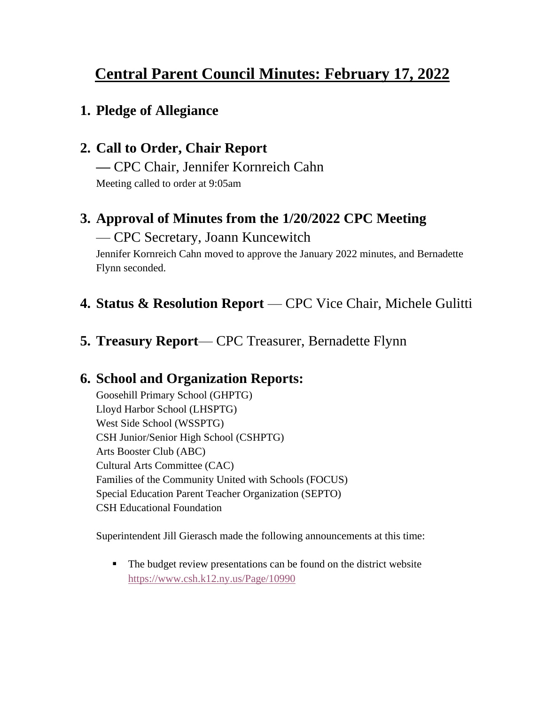# **Central Parent Council Minutes: February 17, 2022**

## **1. Pledge of Allegiance**

## **2. Call to Order, Chair Report**

**—** CPC Chair, Jennifer Kornreich Cahn

Meeting called to order at 9:05am

## **3. Approval of Minutes from the 1/20/2022 CPC Meeting**

#### — CPC Secretary, Joann Kuncewitch

Jennifer Kornreich Cahn moved to approve the January 2022 minutes, and Bernadette Flynn seconded.

#### **4. Status & Resolution Report** — CPC Vice Chair, Michele Gulitti

## **5. Treasury Report**— CPC Treasurer, Bernadette Flynn

#### **6. School and Organization Reports:**

Goosehill Primary School (GHPTG) Lloyd Harbor School (LHSPTG) West Side School (WSSPTG) CSH Junior/Senior High School (CSHPTG) Arts Booster Club (ABC) Cultural Arts Committee (CAC) Families of the Community United with Schools (FOCUS) Special Education Parent Teacher Organization (SEPTO) CSH Educational Foundation

Superintendent Jill Gierasch made the following announcements at this time:

■ The budget review presentations can be found on the district website <https://www.csh.k12.ny.us/Page/10990>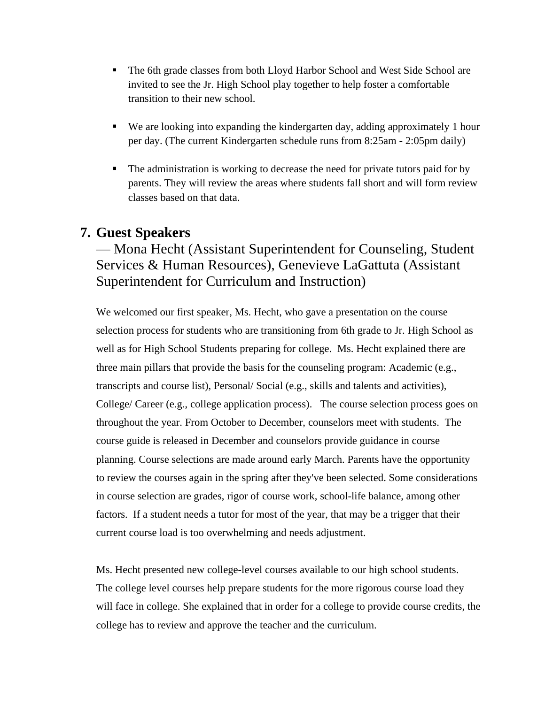- The 6th grade classes from both Lloyd Harbor School and West Side School are invited to see the Jr. High School play together to help foster a comfortable transition to their new school.
- We are looking into expanding the kindergarten day, adding approximately 1 hour per day. (The current Kindergarten schedule runs from 8:25am - 2:05pm daily)
- The administration is working to decrease the need for private tutors paid for by parents. They will review the areas where students fall short and will form review classes based on that data.

#### **7. Guest Speakers**

## — Mona Hecht (Assistant Superintendent for Counseling, Student Services & Human Resources), Genevieve LaGattuta (Assistant Superintendent for Curriculum and Instruction)

We welcomed our first speaker, Ms. Hecht, who gave a presentation on the course selection process for students who are transitioning from 6th grade to Jr. High School as well as for High School Students preparing for college. Ms. Hecht explained there are three main pillars that provide the basis for the counseling program: Academic (e.g., transcripts and course list), Personal/ Social (e.g., skills and talents and activities), College/ Career (e.g., college application process). The course selection process goes on throughout the year. From October to December, counselors meet with students. The course guide is released in December and counselors provide guidance in course planning. Course selections are made around early March. Parents have the opportunity to review the courses again in the spring after they've been selected. Some considerations in course selection are grades, rigor of course work, school-life balance, among other factors. If a student needs a tutor for most of the year, that may be a trigger that their current course load is too overwhelming and needs adjustment.

Ms. Hecht presented new college-level courses available to our high school students. The college level courses help prepare students for the more rigorous course load they will face in college. She explained that in order for a college to provide course credits, the college has to review and approve the teacher and the curriculum.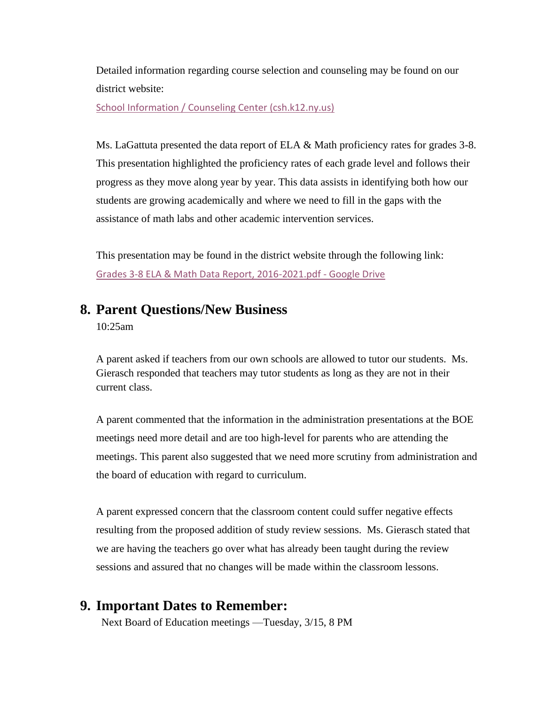Detailed information regarding course selection and counseling may be found on our district website:

[School Information / Counseling Center \(csh.k12.ny.us\)](https://www.csh.k12.ny.us/Page/555)

Ms. LaGattuta presented the data report of ELA  $\&$  Math proficiency rates for grades 3-8. This presentation highlighted the proficiency rates of each grade level and follows their progress as they move along year by year. This data assists in identifying both how our students are growing academically and where we need to fill in the gaps with the assistance of math labs and other academic intervention services.

This presentation may be found in the district website through the following link: [Grades 3-8 ELA & Math Data Report, 2016-2021.pdf -](https://drive.google.com/file/d/1GHPkxGtX3_VHsYSt0rCXg829qW-ThZJI/view) Google Drive

#### **8. Parent Questions/New Business**

10:25am

A parent asked if teachers from our own schools are allowed to tutor our students. Ms. Gierasch responded that teachers may tutor students as long as they are not in their current class.

A parent commented that the information in the administration presentations at the BOE meetings need more detail and are too high-level for parents who are attending the meetings. This parent also suggested that we need more scrutiny from administration and the board of education with regard to curriculum.

A parent expressed concern that the classroom content could suffer negative effects resulting from the proposed addition of study review sessions. Ms. Gierasch stated that we are having the teachers go over what has already been taught during the review sessions and assured that no changes will be made within the classroom lessons.

#### **9. Important Dates to Remember:**

Next Board of Education meetings —Tuesday, 3/15, 8 PM